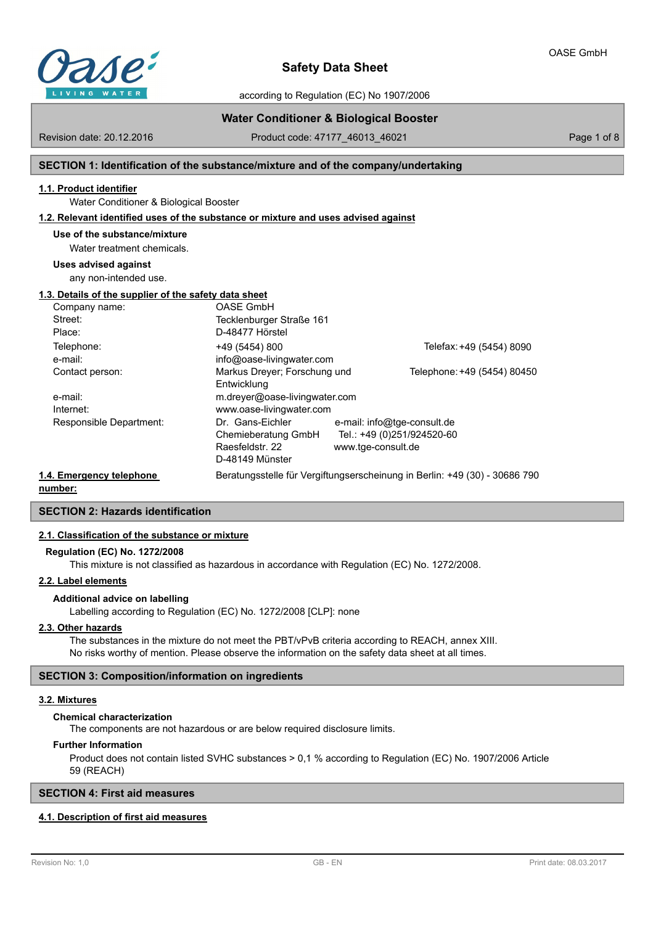

Revision date: 20.12.2016

# **Safety Data Sheet**

according to Regulation (EC) No 1907/2006

## **Water Conditioner & Biological Booster**

Product code: 47177\_46013\_46021 Page 1 of 8

## **SECTION 1: Identification of the substance/mixture and of the company/undertaking**

## **1.1. Product identifier**

Water Conditioner & Biological Booster

#### **1.2. Relevant identified uses of the substance or mixture and uses advised against**

**Use of the substance/mixture**

Water treatment chemicals.

#### **Uses advised against**

any non-intended use.

## **1.3. Details of the supplier of the safety data sheet**

|                          | Company name:           | <b>OASE GmbH</b>                                                           |                             |                             |
|--------------------------|-------------------------|----------------------------------------------------------------------------|-----------------------------|-----------------------------|
|                          | Street:                 | Tecklenburger Straße 161                                                   |                             |                             |
|                          | Place:                  | D-48477 Hörstel                                                            |                             |                             |
|                          | Telephone:              | +49 (5454) 800                                                             |                             | Telefax: +49 (5454) 8090    |
|                          | e-mail:                 | info@oase-livingwater.com                                                  |                             |                             |
|                          | Contact person:         | Markus Dreyer; Forschung und                                               |                             | Telephone: +49 (5454) 80450 |
|                          |                         | Entwicklung                                                                |                             |                             |
|                          | e-mail:                 | m.dreyer@oase-livingwater.com                                              |                             |                             |
|                          | Internet:               | www.oase-livingwater.com                                                   |                             |                             |
|                          | Responsible Department: | Dr. Gans-Eichler                                                           | e-mail: info@tge-consult.de |                             |
|                          |                         | Chemieberatung GmbH                                                        | Tel.: +49 (0)251/924520-60  |                             |
|                          |                         | Raesfeldstr. 22                                                            | www.tge-consult.de          |                             |
|                          |                         | D-48149 Münster                                                            |                             |                             |
| 1.4. Emergency telephone |                         | Beratungsstelle für Vergiftungserscheinung in Berlin: +49 (30) - 30686 790 |                             |                             |
|                          |                         |                                                                            |                             |                             |

**number:**

## **SECTION 2: Hazards identification**

#### **2.1. Classification of the substance or mixture**

#### **Regulation (EC) No. 1272/2008**

This mixture is not classified as hazardous in accordance with Regulation (EC) No. 1272/2008.

#### **2.2. Label elements**

## **Additional advice on labelling**

Labelling according to Regulation (EC) No. 1272/2008 [CLP]: none

#### **2.3. Other hazards**

The substances in the mixture do not meet the PBT/vPvB criteria according to REACH, annex XIII. No risks worthy of mention. Please observe the information on the safety data sheet at all times.

#### **SECTION 3: Composition/information on ingredients**

#### **3.2. Mixtures**

#### **Chemical characterization**

The components are not hazardous or are below required disclosure limits.

#### **Further Information**

Product does not contain listed SVHC substances > 0,1 % according to Regulation (EC) No. 1907/2006 Article 59 (REACH)

## **SECTION 4: First aid measures**

## **4.1. Description of first aid measures**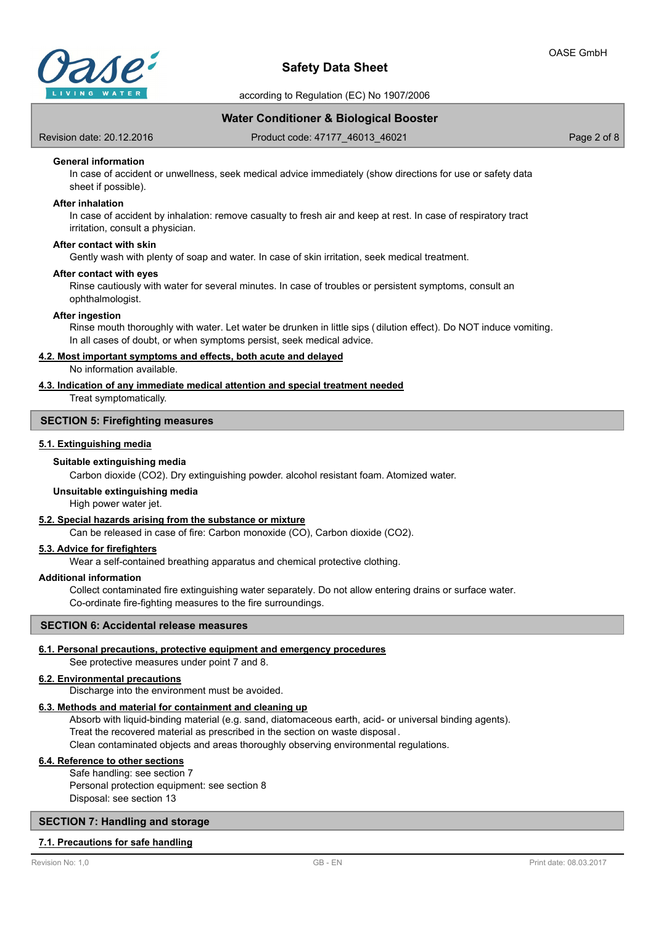

according to Regulation (EC) No 1907/2006

## **Water Conditioner & Biological Booster**

Revision date: 20.12.2016

Product code: 47177\_46013\_46021 Product code: 47177\_46013\_46021

## **General information**

In case of accident or unwellness, seek medical advice immediately (show directions for use or safety data sheet if possible).

#### **After inhalation**

In case of accident by inhalation: remove casualty to fresh air and keep at rest. In case of respiratory tract irritation, consult a physician.

## **After contact with skin**

Gently wash with plenty of soap and water. In case of skin irritation, seek medical treatment.

#### **After contact with eyes**

Rinse cautiously with water for several minutes. In case of troubles or persistent symptoms, consult an ophthalmologist.

#### **After ingestion**

Rinse mouth thoroughly with water. Let water be drunken in little sips (dilution effect). Do NOT induce vomiting. In all cases of doubt, or when symptoms persist, seek medical advice.

#### **4.2. Most important symptoms and effects, both acute and delayed**

No information available.

#### **4.3. Indication of any immediate medical attention and special treatment needed**

Treat symptomatically.

## **SECTION 5: Firefighting measures**

## **5.1. Extinguishing media**

#### **Suitable extinguishing media**

Carbon dioxide (CO2). Dry extinguishing powder. alcohol resistant foam. Atomized water.

#### **Unsuitable extinguishing media**

High power water jet.

#### **5.2. Special hazards arising from the substance or mixture**

Can be released in case of fire: Carbon monoxide (CO), Carbon dioxide (CO2).

## **5.3. Advice for firefighters**

Wear a self-contained breathing apparatus and chemical protective clothing.

#### **Additional information**

Collect contaminated fire extinguishing water separately. Do not allow entering drains or surface water. Co-ordinate fire-fighting measures to the fire surroundings.

#### **SECTION 6: Accidental release measures**

#### **6.1. Personal precautions, protective equipment and emergency procedures**

See protective measures under point 7 and 8.

#### **6.2. Environmental precautions**

Discharge into the environment must be avoided.

## **6.3. Methods and material for containment and cleaning up**

Absorb with liquid-binding material (e.g. sand, diatomaceous earth, acid- or universal binding agents). Treat the recovered material as prescribed in the section on waste disposal . Clean contaminated objects and areas thoroughly observing environmental regulations.

#### **6.4. Reference to other sections**

Safe handling: see section 7 Personal protection equipment: see section 8 Disposal: see section 13

## **SECTION 7: Handling and storage**

#### **7.1. Precautions for safe handling**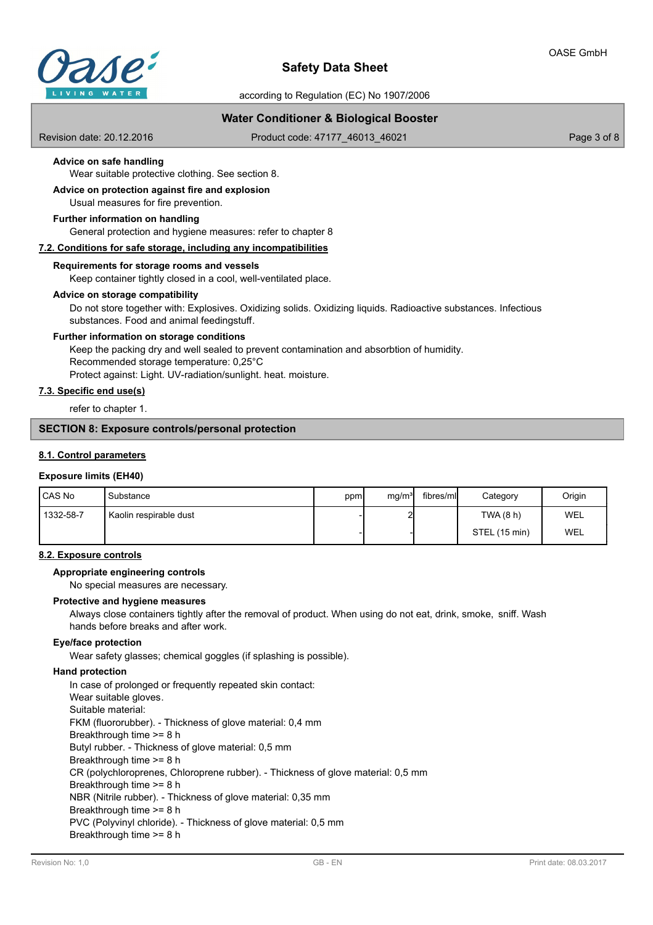

according to Regulation (EC) No 1907/2006

## **Water Conditioner & Biological Booster**

Revision date: 20.12.2016

Product code: 47177\_46013\_46021 Product code: 47177\_46013\_46021

## **Advice on safe handling**

Wear suitable protective clothing. See section 8.

#### Usual measures for fire prevention. **Advice on protection against fire and explosion**

## **Further information on handling**

General protection and hygiene measures: refer to chapter 8

## **7.2. Conditions for safe storage, including any incompatibilities**

## **Requirements for storage rooms and vessels**

Keep container tightly closed in a cool, well-ventilated place.

#### **Advice on storage compatibility**

Do not store together with: Explosives. Oxidizing solids. Oxidizing liquids. Radioactive substances. Infectious substances. Food and animal feedingstuff.

#### **Further information on storage conditions**

Keep the packing dry and well sealed to prevent contamination and absorbtion of humidity. Recommended storage temperature: 0,25°C Protect against: Light. UV-radiation/sunlight. heat. moisture.

## **7.3. Specific end use(s)**

refer to chapter 1.

## **SECTION 8: Exposure controls/personal protection**

#### **8.1. Control parameters**

## **Exposure limits (EH40)**

| <b>CAS No</b> | Substance              | ppm | mg/m <sup>3</sup> | fibres/mll | Category      | Origin |
|---------------|------------------------|-----|-------------------|------------|---------------|--------|
| 1332-58-7     | Kaolin respirable dust |     | പ                 |            | TWA (8 h)     | WEL    |
|               |                        |     |                   |            | STEL (15 min) | WEL    |

## **8.2. Exposure controls**

## **Appropriate engineering controls**

No special measures are necessary.

### **Protective and hygiene measures**

Always close containers tightly after the removal of product. When using do not eat, drink, smoke, sniff. Wash hands before breaks and after work.

#### **Eye/face protection**

Wear safety glasses; chemical goggles (if splashing is possible).

#### **Hand protection**

In case of prolonged or frequently repeated skin contact: Wear suitable gloves. Suitable material: FKM (fluororubber). - Thickness of glove material: 0,4 mm Breakthrough time >= 8 h Butyl rubber. - Thickness of glove material: 0,5 mm Breakthrough time >= 8 h CR (polychloroprenes, Chloroprene rubber). - Thickness of glove material: 0,5 mm Breakthrough time >= 8 h NBR (Nitrile rubber). - Thickness of glove material: 0,35 mm Breakthrough time >= 8 h PVC (Polyvinyl chloride). - Thickness of glove material: 0,5 mm Breakthrough time >= 8 h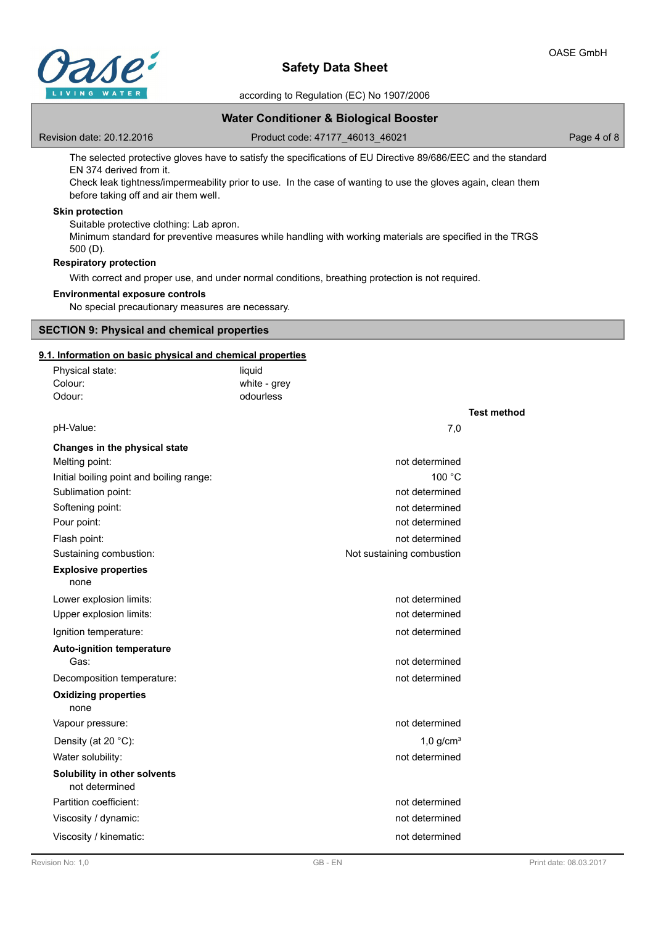

according to Regulation (EC) No 1907/2006

## **Water Conditioner & Biological Booster**

Revision date: 20.12.2016

Product code: 47177\_46013\_46021 Page 4 of 8

The selected protective gloves have to satisfy the specifications of EU Directive 89/686/EEC and the standard EN 374 derived from it.

Check leak tightness/impermeability prior to use. In the case of wanting to use the gloves again, clean them before taking off and air them well.

## **Skin protection**

Suitable protective clothing: Lab apron. Minimum standard for preventive measures while handling with working materials are specified in the TRGS 500 (D).

## **Respiratory protection**

With correct and proper use, and under normal conditions, breathing protection is not required.

#### **Environmental exposure controls**

No special precautionary measures are necessary.

#### **SECTION 9: Physical and chemical properties**

## **9.1. Information on basic physical and chemical properties**

| Physical state:                                | liquid       |                           |                    |
|------------------------------------------------|--------------|---------------------------|--------------------|
| Colour:                                        | white - grey |                           |                    |
| Odour:                                         | odourless    |                           |                    |
|                                                |              |                           | <b>Test method</b> |
| pH-Value:                                      |              | 7,0                       |                    |
| Changes in the physical state                  |              |                           |                    |
| Melting point:                                 |              | not determined            |                    |
| Initial boiling point and boiling range:       |              | 100 °C                    |                    |
| Sublimation point:                             |              | not determined            |                    |
| Softening point:                               |              | not determined            |                    |
| Pour point:                                    |              | not determined            |                    |
| Flash point:                                   |              | not determined            |                    |
| Sustaining combustion:                         |              | Not sustaining combustion |                    |
| <b>Explosive properties</b><br>none            |              |                           |                    |
| Lower explosion limits:                        |              | not determined            |                    |
| Upper explosion limits:                        |              | not determined            |                    |
| Ignition temperature:                          |              | not determined            |                    |
| <b>Auto-ignition temperature</b><br>Gas:       |              | not determined            |                    |
| Decomposition temperature:                     |              | not determined            |                    |
| <b>Oxidizing properties</b><br>none            |              |                           |                    |
| Vapour pressure:                               |              | not determined            |                    |
| Density (at 20 °C):                            |              | $1.0$ g/cm <sup>3</sup>   |                    |
| Water solubility:                              |              | not determined            |                    |
| Solubility in other solvents<br>not determined |              |                           |                    |
| Partition coefficient:                         |              | not determined            |                    |
| Viscosity / dynamic:                           |              | not determined            |                    |
| Viscosity / kinematic:                         |              | not determined            |                    |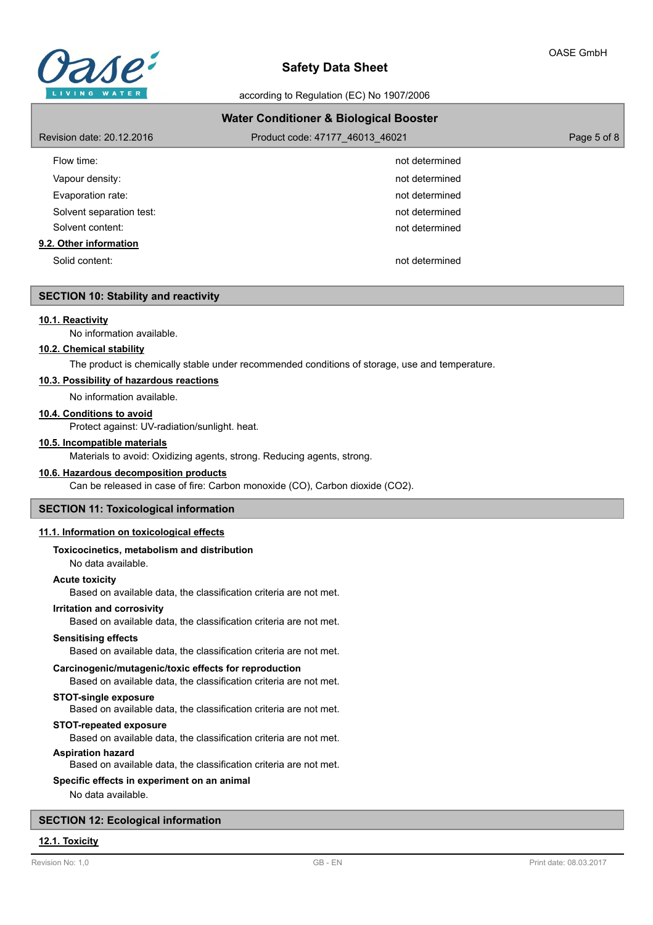

according to Regulation (EC) No 1907/2006

| <b>Water Conditioner &amp; Biological Booster</b> |                                 |             |  |  |
|---------------------------------------------------|---------------------------------|-------------|--|--|
| Revision date: 20.12.2016                         | Product code: 47177 46013 46021 | Page 5 of 8 |  |  |
| Flow time:                                        | not determined                  |             |  |  |
| Vapour density:                                   | not determined                  |             |  |  |
| Evaporation rate:                                 | not determined                  |             |  |  |
| Solvent separation test:                          | not determined                  |             |  |  |
| Solvent content:                                  | not determined                  |             |  |  |
| 9.2. Other information                            |                                 |             |  |  |
| Solid content:                                    | not determined                  |             |  |  |

## **SECTION 10: Stability and reactivity**

#### **10.1. Reactivity**

No information available.

#### **10.2. Chemical stability**

The product is chemically stable under recommended conditions of storage, use and temperature.

## **10.3. Possibility of hazardous reactions**

No information available.

## **10.4. Conditions to avoid**

Protect against: UV-radiation/sunlight. heat.

#### **10.5. Incompatible materials**

Materials to avoid: Oxidizing agents, strong. Reducing agents, strong.

## **10.6. Hazardous decomposition products**

Can be released in case of fire: Carbon monoxide (CO), Carbon dioxide (CO2).

## **SECTION 11: Toxicological information**

## **11.1. Information on toxicological effects**

#### **Toxicocinetics, metabolism and distribution**

No data available.

## **Acute toxicity**

Based on available data, the classification criteria are not met.

## **Irritation and corrosivity**

Based on available data, the classification criteria are not met.

#### **Sensitising effects**

Based on available data, the classification criteria are not met.

#### **Carcinogenic/mutagenic/toxic effects for reproduction**

Based on available data, the classification criteria are not met.

## **STOT-single exposure**

Based on available data, the classification criteria are not met.

## **STOT-repeated exposure**

Based on available data, the classification criteria are not met.

## **Aspiration hazard**

Based on available data, the classification criteria are not met.

#### **Specific effects in experiment on an animal**

No data available.

### **SECTION 12: Ecological information**

## **12.1. Toxicity**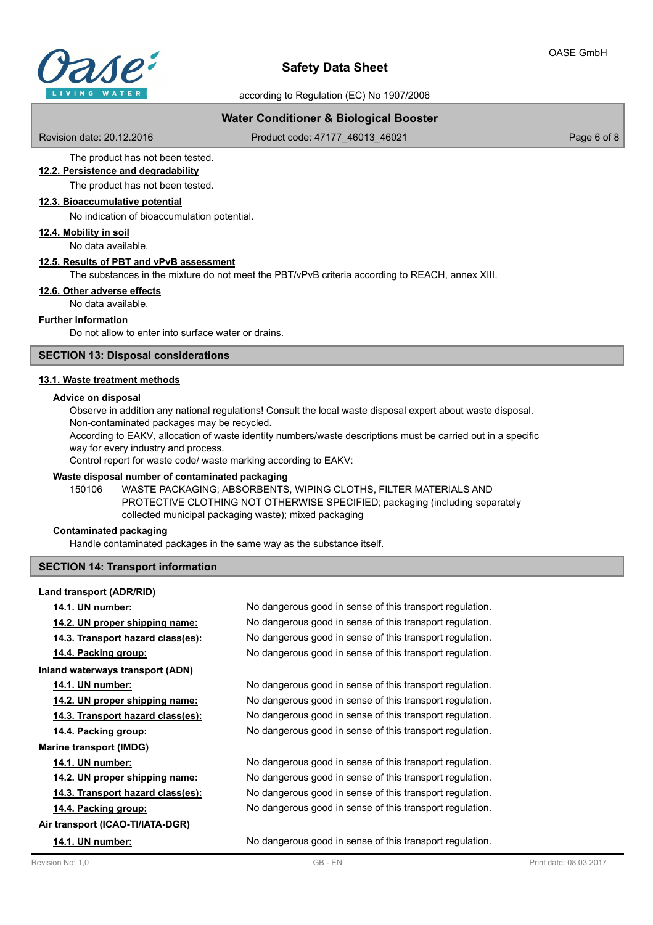

according to Regulation (EC) No 1907/2006

## **Water Conditioner & Biological Booster**

Revision date: 20.12.2016

Product code: 47177\_46013\_46021 Product code: 47177\_46013\_46021

The product has not been tested. **12.2. Persistence and degradability**

The product has not been tested.

### **12.3. Bioaccumulative potential**

No indication of bioaccumulation potential.

**12.4. Mobility in soil**

No data available.

#### **12.5. Results of PBT and vPvB assessment**

The substances in the mixture do not meet the PBT/vPvB criteria according to REACH, annex XIII.

## **12.6. Other adverse effects**

No data available.

#### **Further information**

Do not allow to enter into surface water or drains.

## **SECTION 13: Disposal considerations**

#### **13.1. Waste treatment methods**

#### **Advice on disposal**

Observe in addition any national regulations! Consult the local waste disposal expert about waste disposal. Non-contaminated packages may be recycled.

According to EAKV, allocation of waste identity numbers/waste descriptions must be carried out in a specific way for every industry and process.

Control report for waste code/ waste marking according to EAKV:

#### **Waste disposal number of contaminated packaging**

WASTE PACKAGING; ABSORBENTS, WIPING CLOTHS, FILTER MATERIALS AND PROTECTIVE CLOTHING NOT OTHERWISE SPECIFIED; packaging (including separately collected municipal packaging waste); mixed packaging 150106

#### **Contaminated packaging**

**Land transport (ADR/RID)**

Handle contaminated packages in the same way as the substance itself.

#### **SECTION 14: Transport information**

**14.1. UN number:** No dangerous good in sense of this transport regulation. **14.2. UN proper shipping name:** No dangerous good in sense of this transport regulation. **14.3. Transport hazard class(es):** No dangerous good in sense of this transport regulation. **14.4. Packing group:** No dangerous good in sense of this transport regulation. **Inland waterways transport (ADN) 14.1. UN number:** No dangerous good in sense of this transport regulation. **14.2. UN proper shipping name:** No dangerous good in sense of this transport regulation. **14.3. Transport hazard class(es):** No dangerous good in sense of this transport regulation. **14.4. Packing group:** No dangerous good in sense of this transport regulation. **Marine transport (IMDG) 14.1. UN number:** No dangerous good in sense of this transport regulation. **14.2. UN proper shipping name:** No dangerous good in sense of this transport regulation. **14.3. Transport hazard class(es):** No dangerous good in sense of this transport regulation. **14.4. Packing group:** No dangerous good in sense of this transport regulation. **Air transport (ICAO-TI/IATA-DGR) 14.1. UN number:** No dangerous good in sense of this transport regulation.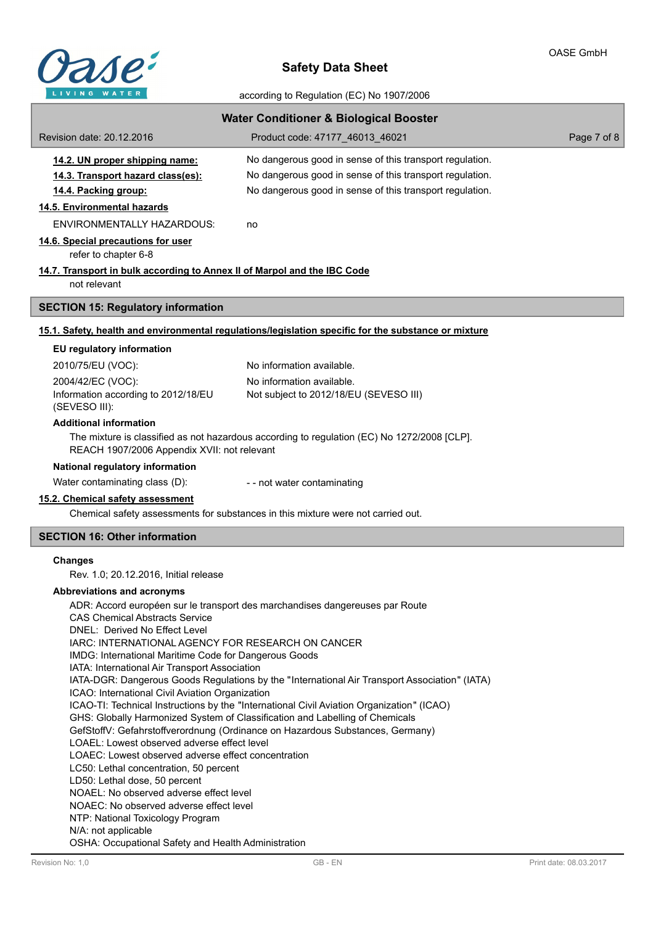

according to Regulation (EC) No 1907/2006

| <b>Water Conditioner &amp; Biological Booster</b>                                                                                            |                                                                                                      |             |  |  |  |
|----------------------------------------------------------------------------------------------------------------------------------------------|------------------------------------------------------------------------------------------------------|-------------|--|--|--|
| Revision date: 20.12.2016                                                                                                                    | Product code: 47177 46013 46021                                                                      | Page 7 of 8 |  |  |  |
| 14.2. UN proper shipping name:                                                                                                               | No dangerous good in sense of this transport regulation.                                             |             |  |  |  |
| 14.3. Transport hazard class(es):                                                                                                            | No dangerous good in sense of this transport regulation.                                             |             |  |  |  |
| 14.4. Packing group:                                                                                                                         | No dangerous good in sense of this transport regulation.                                             |             |  |  |  |
| 14.5. Environmental hazards                                                                                                                  |                                                                                                      |             |  |  |  |
| <b>ENVIRONMENTALLY HAZARDOUS:</b>                                                                                                            | no                                                                                                   |             |  |  |  |
| 14.6. Special precautions for user<br>refer to chapter 6-8                                                                                   |                                                                                                      |             |  |  |  |
| 14.7. Transport in bulk according to Annex II of Marpol and the IBC Code<br>not relevant                                                     |                                                                                                      |             |  |  |  |
| <b>SECTION 15: Regulatory information</b>                                                                                                    |                                                                                                      |             |  |  |  |
|                                                                                                                                              | 15.1. Safety, health and environmental regulations/legislation specific for the substance or mixture |             |  |  |  |
| EU regulatory information                                                                                                                    |                                                                                                      |             |  |  |  |
| 2010/75/EU (VOC):                                                                                                                            | No information available.                                                                            |             |  |  |  |
| 2004/42/EC (VOC):                                                                                                                            | No information available.                                                                            |             |  |  |  |
| Information according to 2012/18/EU<br>(SEVESO III):                                                                                         | Not subject to 2012/18/EU (SEVESO III)                                                               |             |  |  |  |
| <b>Additional information</b>                                                                                                                |                                                                                                      |             |  |  |  |
| The mixture is classified as not hazardous according to regulation (EC) No 1272/2008 [CLP].<br>REACH 1907/2006 Appendix XVII: not relevant   |                                                                                                      |             |  |  |  |
| National regulatory information                                                                                                              |                                                                                                      |             |  |  |  |
| Water contaminating class (D):                                                                                                               | - - not water contaminating                                                                          |             |  |  |  |
| 15.2. Chemical safety assessment                                                                                                             | Chemical safety assessments for substances in this mixture were not carried out.                     |             |  |  |  |
| <b>SECTION 16: Other information</b>                                                                                                         |                                                                                                      |             |  |  |  |
| <b>Changes</b>                                                                                                                               |                                                                                                      |             |  |  |  |
| Rev. 1.0; 20.12.2016, Initial release                                                                                                        |                                                                                                      |             |  |  |  |
| Abbreviations and acronyms                                                                                                                   |                                                                                                      |             |  |  |  |
| ADR: Accord européen sur le transport des marchandises dangereuses par Route                                                                 |                                                                                                      |             |  |  |  |
| <b>CAS Chemical Abstracts Service</b>                                                                                                        |                                                                                                      |             |  |  |  |
| DNEL: Derived No Effect Level<br>IARC: INTERNATIONAL AGENCY FOR RESEARCH ON CANCER                                                           |                                                                                                      |             |  |  |  |
| IMDG: International Maritime Code for Dangerous Goods                                                                                        |                                                                                                      |             |  |  |  |
| IATA: International Air Transport Association                                                                                                |                                                                                                      |             |  |  |  |
| IATA-DGR: Dangerous Goods Regulations by the "International Air Transport Association" (IATA)                                                |                                                                                                      |             |  |  |  |
| ICAO: International Civil Aviation Organization<br>ICAO-TI: Technical Instructions by the "International Civil Aviation Organization" (ICAO) |                                                                                                      |             |  |  |  |
| GHS: Globally Harmonized System of Classification and Labelling of Chemicals                                                                 |                                                                                                      |             |  |  |  |
| GefStoffV: Gefahrstoffverordnung (Ordinance on Hazardous Substances, Germany)<br>LOAEL: Lowest observed adverse effect level                 |                                                                                                      |             |  |  |  |
| LOAEC: Lowest observed adverse effect concentration                                                                                          |                                                                                                      |             |  |  |  |
| LC50: Lethal concentration, 50 percent                                                                                                       |                                                                                                      |             |  |  |  |
| LD50: Lethal dose, 50 percent                                                                                                                |                                                                                                      |             |  |  |  |
| NOAEL: No observed adverse effect level<br>NOAEC: No observed adverse effect level                                                           |                                                                                                      |             |  |  |  |
| NTP: National Toxicology Program                                                                                                             |                                                                                                      |             |  |  |  |
| N/A: not applicable                                                                                                                          |                                                                                                      |             |  |  |  |
| OSHA: Occupational Safety and Health Administration                                                                                          |                                                                                                      |             |  |  |  |